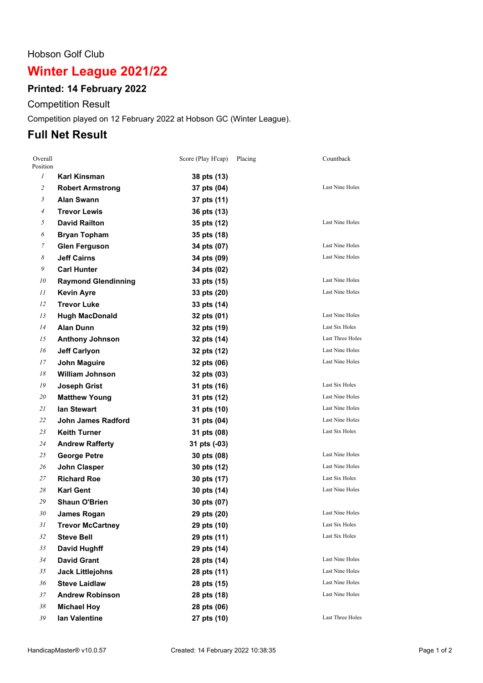#### Hobson Golf Club

# **Winter League 2021/22**

# **Printed: 14 February 2022**

Competition Result

Competition played on 12 February 2022 at Hobson GC (Winter League).

# **Full Net Result**

| Overall<br>Position |                            | Score (Play H'cap) | Placing | Countback              |
|---------------------|----------------------------|--------------------|---------|------------------------|
| $\mathfrak{I}$      | Karl Kinsman               | 38 pts (13)        |         |                        |
| $\mathfrak{2}$      | <b>Robert Armstrong</b>    | 37 pts (04)        |         | Last Nine Holes        |
| 3                   | <b>Alan Swann</b>          | 37 pts (11)        |         |                        |
| 4                   | <b>Trevor Lewis</b>        | 36 pts (13)        |         |                        |
| 5                   | <b>David Railton</b>       | 35 pts (12)        |         | Last Nine Holes        |
| 6                   | <b>Bryan Topham</b>        | 35 pts (18)        |         |                        |
| 7                   | <b>Glen Ferguson</b>       | 34 pts (07)        |         | Last Nine Holes        |
| 8                   | <b>Jeff Cairns</b>         | 34 pts (09)        |         | Last Nine Holes        |
| 9                   | <b>Carl Hunter</b>         | 34 pts (02)        |         |                        |
| 10                  | <b>Raymond Glendinning</b> | 33 pts (15)        |         | Last Nine Holes        |
| 11                  | <b>Kevin Ayre</b>          | 33 pts (20)        |         | Last Nine Holes        |
| 12                  | <b>Trevor Luke</b>         | 33 pts (14)        |         |                        |
| 13                  | <b>Hugh MacDonald</b>      | 32 pts (01)        |         | Last Nine Holes        |
| 14                  | <b>Alan Dunn</b>           | 32 pts (19)        |         | Last Six Holes         |
| 15                  | <b>Anthony Johnson</b>     | 32 pts (14)        |         | Last Three Holes       |
| 16                  | <b>Jeff Carlyon</b>        | 32 pts (12)        |         | Last Nine Holes        |
| 17                  | <b>John Maguire</b>        | 32 pts (06)        |         | Last Nine Holes        |
| 18                  | <b>William Johnson</b>     | 32 pts (03)        |         |                        |
| 19                  | <b>Joseph Grist</b>        | 31 pts (16)        |         | <b>Last Six Holes</b>  |
| 20                  | <b>Matthew Young</b>       | 31 pts (12)        |         | <b>Last Nine Holes</b> |
| 21                  | lan Stewart                | 31 pts (10)        |         | Last Nine Holes        |
| 22                  | <b>John James Radford</b>  | 31 pts (04)        |         | Last Nine Holes        |
| 23                  | <b>Keith Turner</b>        | 31 pts (08)        |         | Last Six Holes         |
| 24                  | <b>Andrew Rafferty</b>     | 31 pts (-03)       |         |                        |
| 25                  | <b>George Petre</b>        | 30 pts (08)        |         | Last Nine Holes        |
| 26                  | <b>John Clasper</b>        | 30 pts (12)        |         | <b>Last Nine Holes</b> |
| 27                  | <b>Richard Roe</b>         | 30 pts (17)        |         | Last Six Holes         |
| 28                  | <b>Karl Gent</b>           | 30 pts (14)        |         | <b>Last Nine Holes</b> |
| 29                  | Shaun O'Brien              | 30 pts (07)        |         |                        |
| 30                  | James Rogan                | 29 pts (20)        |         | Last Nine Holes        |
| 31                  | <b>Trevor McCartney</b>    | 29 pts (10)        |         | Last Six Holes         |
| 32                  | <b>Steve Bell</b>          | 29 pts (11)        |         | Last Six Holes         |
| 33                  | David Hughff               | 29 pts (14)        |         |                        |
| 34                  | <b>David Grant</b>         | 28 pts (14)        |         | Last Nine Holes        |
| 35                  | <b>Jack Littlejohns</b>    | 28 pts (11)        |         | Last Nine Holes        |
| 36                  | <b>Steve Laidlaw</b>       | 28 pts (15)        |         | Last Nine Holes        |
| 37                  | <b>Andrew Robinson</b>     | 28 pts (18)        |         | Last Nine Holes        |
| 38                  | <b>Michael Hoy</b>         | 28 pts (06)        |         |                        |
| 39                  | lan Valentine              | 27 pts (10)        |         | Last Three Holes       |